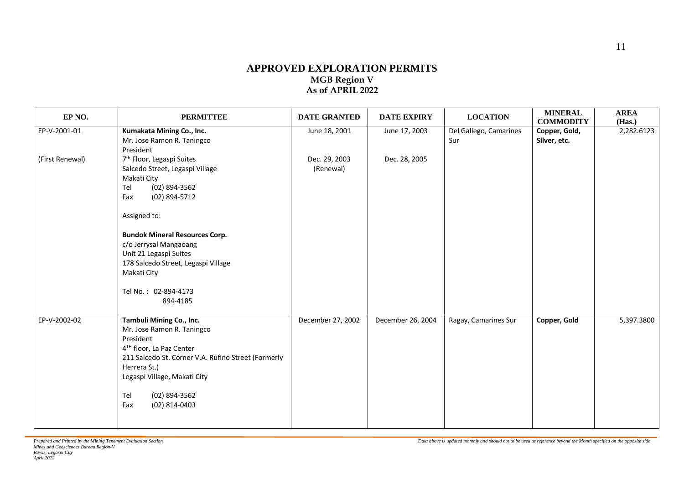## **APPROVED EXPLORATION PERMITS MGB Region V As of APRIL 2022**

| EP <sub>NO</sub> . | <b>PERMITTEE</b>                                                                                                                                                                                                                                                                                                                                 | <b>DATE GRANTED</b>        | <b>DATE EXPIRY</b> | <b>LOCATION</b>               | <b>MINERAL</b><br><b>COMMODITY</b> | <b>AREA</b><br>(Has.) |
|--------------------|--------------------------------------------------------------------------------------------------------------------------------------------------------------------------------------------------------------------------------------------------------------------------------------------------------------------------------------------------|----------------------------|--------------------|-------------------------------|------------------------------------|-----------------------|
| EP-V-2001-01       | Kumakata Mining Co., Inc.<br>Mr. Jose Ramon R. Taningco<br>President                                                                                                                                                                                                                                                                             | June 18, 2001              | June 17, 2003      | Del Gallego, Camarines<br>Sur | Copper, Gold,<br>Silver, etc.      | 2,282.6123            |
| (First Renewal)    | 7 <sup>th</sup> Floor, Legaspi Suites<br>Salcedo Street, Legaspi Village<br>Makati City<br>$(02)$ 894-3562<br>Tel<br>(02) 894-5712<br>Fax<br>Assigned to:<br><b>Bundok Mineral Resources Corp.</b><br>c/o Jerrysal Mangaoang<br>Unit 21 Legaspi Suites<br>178 Salcedo Street, Legaspi Village<br>Makati City<br>Tel No.: 02-894-4173<br>894-4185 | Dec. 29, 2003<br>(Renewal) | Dec. 28, 2005      |                               |                                    |                       |
| EP-V-2002-02       | Tambuli Mining Co., Inc.<br>Mr. Jose Ramon R. Taningco<br>President<br>4TH floor, La Paz Center<br>211 Salcedo St. Corner V.A. Rufino Street (Formerly<br>Herrera St.)<br>Legaspi Village, Makati City<br>$(02)$ 894-3562<br>Tel<br>$(02)$ 814-0403<br>Fax                                                                                       | December 27, 2002          | December 26, 2004  | Ragay, Camarines Sur          | Copper, Gold                       | 5,397.3800            |

*Data above is updated monthly and should not to be used as reference beyond the Month specified on the opposite side*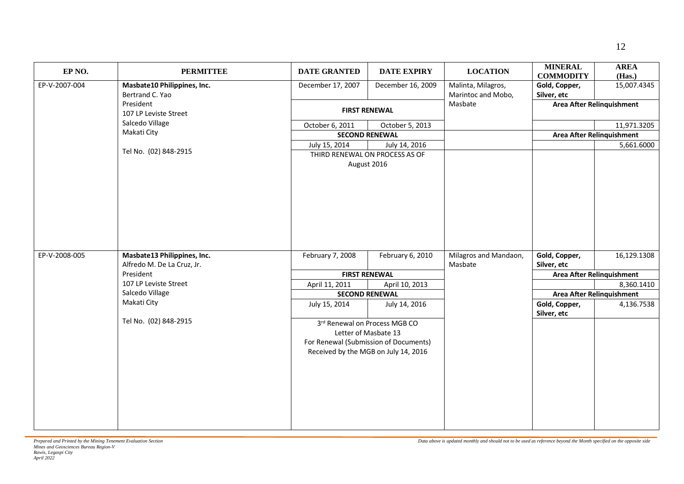| EP <sub>NO</sub> . | <b>PERMITTEE</b>                   | <b>DATE GRANTED</b> | <b>DATE EXPIRY</b>                                                                                                                     | <b>LOCATION</b>               | <b>MINERAL</b><br><b>COMMODITY</b> | <b>AREA</b><br>(Has.)                   |
|--------------------|------------------------------------|---------------------|----------------------------------------------------------------------------------------------------------------------------------------|-------------------------------|------------------------------------|-----------------------------------------|
| EP-V-2007-004      | Masbate10 Philippines, Inc.        | December 17, 2007   | December 16, 2009                                                                                                                      | Malinta, Milagros,            | Gold, Copper,                      | 15,007.4345                             |
|                    | Bertrand C. Yao                    |                     |                                                                                                                                        | Marintoc and Mobo,<br>Masbate | Silver, etc                        |                                         |
|                    | President<br>107 LP Leviste Street |                     | <b>FIRST RENEWAL</b>                                                                                                                   |                               | Area After Relinquishment          |                                         |
|                    | Salcedo Village                    | October 6, 2011     | October 5, 2013                                                                                                                        |                               |                                    | 11,971.3205                             |
|                    | Makati City                        |                     | <b>SECOND RENEWAL</b>                                                                                                                  |                               |                                    | Area After Relinquishment               |
|                    |                                    | July 15, 2014       | July 14, 2016                                                                                                                          |                               |                                    | 5,661.6000                              |
|                    | Tel No. (02) 848-2915              |                     | THIRD RENEWAL ON PROCESS AS OF<br>August 2016                                                                                          |                               |                                    |                                         |
| EP-V-2008-005      | Masbate13 Philippines, Inc.        | February 7, 2008    | February 6, 2010                                                                                                                       | Milagros and Mandaon,         | Gold, Copper,                      | 16,129.1308                             |
|                    | Alfredo M. De La Cruz, Jr.         |                     |                                                                                                                                        | Masbate                       | Silver, etc                        |                                         |
|                    | President<br>107 LP Leviste Street |                     | <b>FIRST RENEWAL</b><br>April 11, 2011<br>April 10, 2013<br><b>SECOND RENEWAL</b>                                                      |                               |                                    | Area After Relinquishment<br>8,360.1410 |
|                    | Salcedo Village                    |                     |                                                                                                                                        |                               | Area After Relinquishment          |                                         |
|                    | Makati City                        | July 15, 2014       | July 14, 2016                                                                                                                          |                               | Gold, Copper,<br>Silver, etc       | 4,136.7538                              |
|                    | Tel No. (02) 848-2915              |                     | 3rd Renewal on Process MGB CO<br>Letter of Masbate 13<br>For Renewal (Submission of Documents)<br>Received by the MGB on July 14, 2016 |                               |                                    |                                         |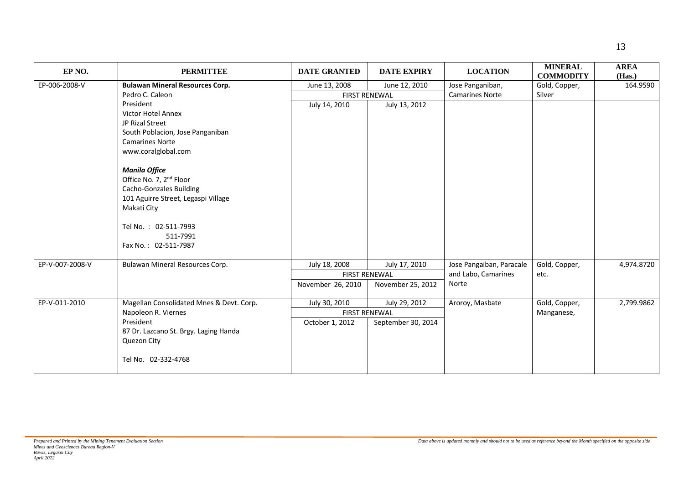| EP NO.          | <b>PERMITTEE</b>                         | <b>DATE GRANTED</b>  | <b>DATE EXPIRY</b> | <b>LOCATION</b>          | <b>MINERAL</b><br><b>COMMODITY</b> | <b>AREA</b><br>(Has.) |
|-----------------|------------------------------------------|----------------------|--------------------|--------------------------|------------------------------------|-----------------------|
| EP-006-2008-V   | <b>Bulawan Mineral Resources Corp.</b>   | June 13, 2008        | June 12, 2010      | Jose Panganiban,         | Gold, Copper,                      | 164.9590              |
|                 | Pedro C. Caleon                          | <b>FIRST RENEWAL</b> |                    | <b>Camarines Norte</b>   | Silver                             |                       |
|                 | President                                | July 14, 2010        | July 13, 2012      |                          |                                    |                       |
|                 | Victor Hotel Annex                       |                      |                    |                          |                                    |                       |
|                 | JP Rizal Street                          |                      |                    |                          |                                    |                       |
|                 | South Poblacion, Jose Panganiban         |                      |                    |                          |                                    |                       |
|                 | <b>Camarines Norte</b>                   |                      |                    |                          |                                    |                       |
|                 | www.coralglobal.com                      |                      |                    |                          |                                    |                       |
|                 | <b>Manila Office</b>                     |                      |                    |                          |                                    |                       |
|                 | Office No. 7, 2 <sup>nd</sup> Floor      |                      |                    |                          |                                    |                       |
|                 | <b>Cacho-Gonzales Building</b>           |                      |                    |                          |                                    |                       |
|                 | 101 Aguirre Street, Legaspi Village      |                      |                    |                          |                                    |                       |
|                 | Makati City                              |                      |                    |                          |                                    |                       |
|                 | Tel No.: 02-511-7993                     |                      |                    |                          |                                    |                       |
|                 | 511-7991                                 |                      |                    |                          |                                    |                       |
|                 | Fax No.: 02-511-7987                     |                      |                    |                          |                                    |                       |
|                 |                                          |                      |                    |                          |                                    |                       |
| EP-V-007-2008-V | Bulawan Mineral Resources Corp.          | July 18, 2008        | July 17, 2010      | Jose Pangaiban, Paracale | Gold, Copper,                      | 4,974.8720            |
|                 |                                          | <b>FIRST RENEWAL</b> |                    | and Labo, Camarines      | etc.                               |                       |
|                 |                                          | November 26, 2010    | November 25, 2012  | Norte                    |                                    |                       |
| EP-V-011-2010   | Magellan Consolidated Mnes & Devt. Corp. | July 30, 2010        | July 29, 2012      | Aroroy, Masbate          | Gold, Copper,                      | 2,799.9862            |
|                 | Napoleon R. Viernes                      | <b>FIRST RENEWAL</b> |                    |                          | Manganese,                         |                       |
|                 | President                                | October 1, 2012      | September 30, 2014 |                          |                                    |                       |
|                 | 87 Dr. Lazcano St. Brgy. Laging Handa    |                      |                    |                          |                                    |                       |
|                 | Quezon City                              |                      |                    |                          |                                    |                       |
|                 | Tel No. 02-332-4768                      |                      |                    |                          |                                    |                       |
|                 |                                          |                      |                    |                          |                                    |                       |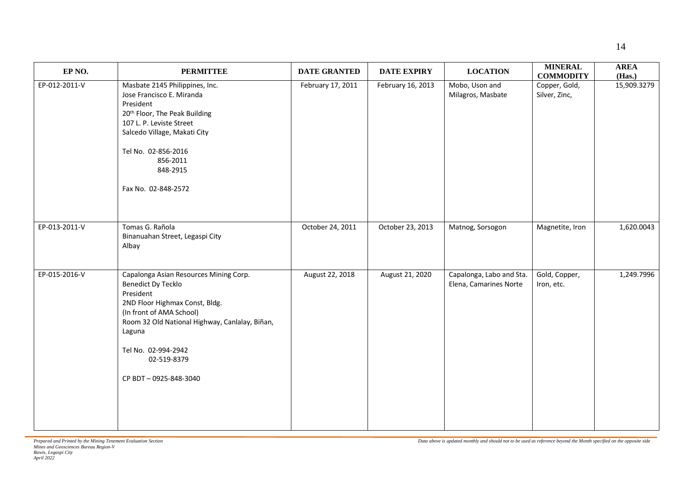| EP <sub>NO</sub> . | <b>PERMITTEE</b>                                                                                                                                                                                                                                                  | <b>DATE GRANTED</b> | <b>DATE EXPIRY</b> | <b>LOCATION</b>                                    | <b>MINERAL</b><br><b>COMMODITY</b> | <b>AREA</b><br>(Has.) |
|--------------------|-------------------------------------------------------------------------------------------------------------------------------------------------------------------------------------------------------------------------------------------------------------------|---------------------|--------------------|----------------------------------------------------|------------------------------------|-----------------------|
| EP-012-2011-V      | Masbate 2145 Philippines, Inc.<br>Jose Francisco E. Miranda<br>President<br>20th Floor, The Peak Building<br>107 L. P. Leviste Street<br>Salcedo Village, Makati City<br>Tel No. 02-856-2016<br>856-2011<br>848-2915<br>Fax No. 02-848-2572                       | February 17, 2011   | February 16, 2013  | Mobo, Uson and<br>Milagros, Masbate                | Copper, Gold,<br>Silver, Zinc,     | 15,909.3279           |
| EP-013-2011-V      | Tomas G. Rañola<br>Binanuahan Street, Legaspi City<br>Albay                                                                                                                                                                                                       | October 24, 2011    | October 23, 2013   | Matnog, Sorsogon                                   | Magnetite, Iron                    | 1,620.0043            |
| EP-015-2016-V      | Capalonga Asian Resources Mining Corp.<br>Benedict Dy Tecklo<br>President<br>2ND Floor Highmax Const, Bldg.<br>(In front of AMA School)<br>Room 32 Old National Highway, Canlalay, Biñan,<br>Laguna<br>Tel No. 02-994-2942<br>02-519-8379<br>CP BDT-0925-848-3040 | August 22, 2018     | August 21, 2020    | Capalonga, Labo and Sta.<br>Elena, Camarines Norte | Gold, Copper,<br>Iron, etc.        | 1,249.7996            |